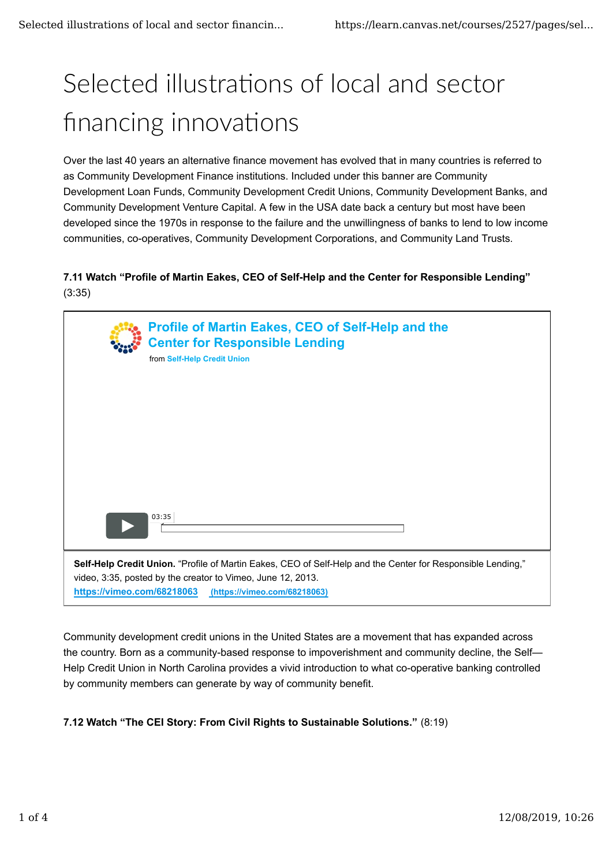# Selected illustrations of local and sector financing innovations

Over the last 40 years an alternative finance movement has evolved that in many countries is referred to as Community Development Finance institutions. Included under this banner are Community Development Loan Funds, Community Development Credit Unions, Community Development Banks, and Community Development Venture Capital. A few in the USA date back a century but most have been developed since the 1970s in response to the failure and the unwillingness of banks to lend to low income communities, co-operatives, Community Development Corporations, and Community Land Trusts.

### **7.11 Watch "Profile of Martin Eakes, CEO of Self-Help and the Center for Responsible Lending"** (3:35)

|                                                                                                                                                                                                                                          | Profile of Martin Eakes, CEO of Self-Help and the<br><b>Center for Responsible Lending</b><br>from Self-Help Credit Union |
|------------------------------------------------------------------------------------------------------------------------------------------------------------------------------------------------------------------------------------------|---------------------------------------------------------------------------------------------------------------------------|
|                                                                                                                                                                                                                                          |                                                                                                                           |
|                                                                                                                                                                                                                                          |                                                                                                                           |
|                                                                                                                                                                                                                                          | 03:35                                                                                                                     |
| Self-Help Credit Union. "Profile of Martin Eakes, CEO of Self-Help and the Center for Responsible Lending,"<br>video, 3:35, posted by the creator to Vimeo, June 12, 2013.<br>https://vimeo.com/68218063<br>(https://vimeo.com/68218063) |                                                                                                                           |

Community development credit unions in the United States are a movement that has expanded across the country. Born as a community-based response to impoverishment and community decline, the Self— Help Credit Union in North Carolina provides a vivid introduction to what co-operative banking controlled by community members can generate by way of community benefit.

## **7.12 Watch "The CEI Story: From Civil Rights to Sustainable Solutions."** (8:19)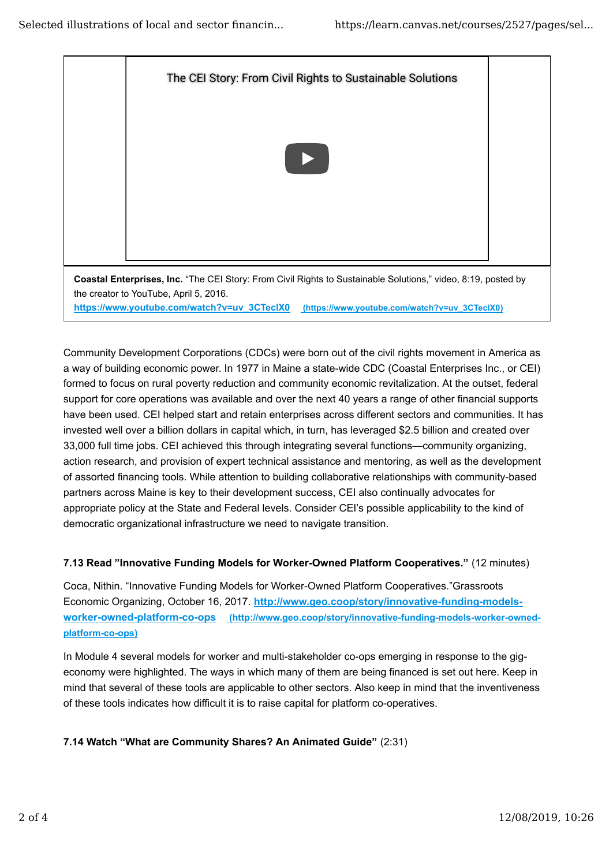

Community Development Corporations (CDCs) were born out of the civil rights movement in America as a way of building economic power. In 1977 in Maine a state-wide CDC (Coastal Enterprises Inc., or CEI) formed to focus on rural poverty reduction and community economic revitalization. At the outset, federal support for core operations was available and over the next 40 years a range of other financial supports have been used. CEI helped start and retain enterprises across different sectors and communities. It has invested well over a billion dollars in capital which, in turn, has leveraged \$2.5 billion and created over 33,000 full time jobs. CEI achieved this through integrating several functions—community organizing, action research, and provision of expert technical assistance and mentoring, as well as the development of assorted financing tools. While attention to building collaborative relationships with community-based partners across Maine is key to their development success, CEI also continually advocates for appropriate policy at the State and Federal levels. Consider CEI's possible applicability to the kind of democratic organizational infrastructure we need to navigate transition.

#### **7.13 Read "Innovative Funding Models for Worker-Owned Platform Cooperatives."** (12 minutes)

Coca, Nithin. "Innovative Funding Models for Worker-Owned Platform Cooperatives."Grassroots Economic Organizing, October 16, 2017. **http://www.geo.coop/story/innovative-funding-modelsworker-owned-platform-co-ops (http://www.geo.coop/story/innovative-funding-models-worker-ownedplatform-co-ops)**

In Module 4 several models for worker and multi-stakeholder co-ops emerging in response to the gigeconomy were highlighted. The ways in which many of them are being financed is set out here. Keep in mind that several of these tools are applicable to other sectors. Also keep in mind that the inventiveness of these tools indicates how difficult it is to raise capital for platform co-operatives.

#### **7.14 Watch "What are Community Shares? An Animated Guide"** (2:31)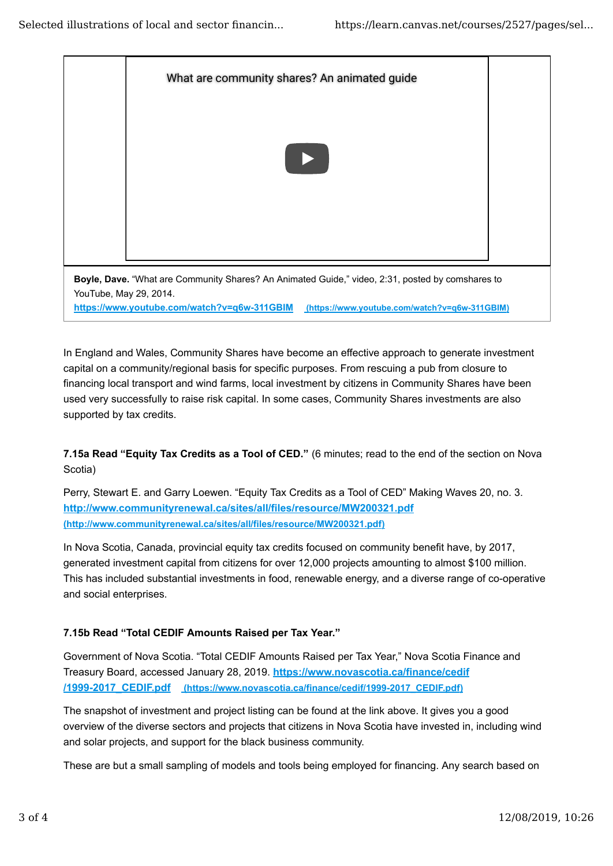

In England and Wales, Community Shares have become an effective approach to generate investment capital on a community/regional basis for specific purposes. From rescuing a pub from closure to financing local transport and wind farms, local investment by citizens in Community Shares have been used very successfully to raise risk capital. In some cases, Community Shares investments are also supported by tax credits.

**7.15a Read "Equity Tax Credits as a Tool of CED."** (6 minutes; read to the end of the section on Nova Scotia)

Perry, Stewart E. and Garry Loewen. "Equity Tax Credits as a Tool of CED" Making Waves 20, no. 3. **http://www.communityrenewal.ca/sites/all/files/resource/MW200321.pdf (http://www.communityrenewal.ca/sites/all/files/resource/MW200321.pdf)**

In Nova Scotia, Canada, provincial equity tax credits focused on community benefit have, by 2017, generated investment capital from citizens for over 12,000 projects amounting to almost \$100 million. This has included substantial investments in food, renewable energy, and a diverse range of co-operative and social enterprises.

#### **7.15b Read "Total CEDIF Amounts Raised per Tax Year."**

Government of Nova Scotia. "Total CEDIF Amounts Raised per Tax Year," Nova Scotia Finance and Treasury Board, accessed January 28, 2019. **https://www.novascotia.ca/finance/cedif /1999-2017\_CEDIF.pdf (https://www.novascotia.ca/finance/cedif/1999-2017\_CEDIF.pdf)**

The snapshot of investment and project listing can be found at the link above. It gives you a good overview of the diverse sectors and projects that citizens in Nova Scotia have invested in, including wind and solar projects, and support for the black business community.

These are but a small sampling of models and tools being employed for financing. Any search based on